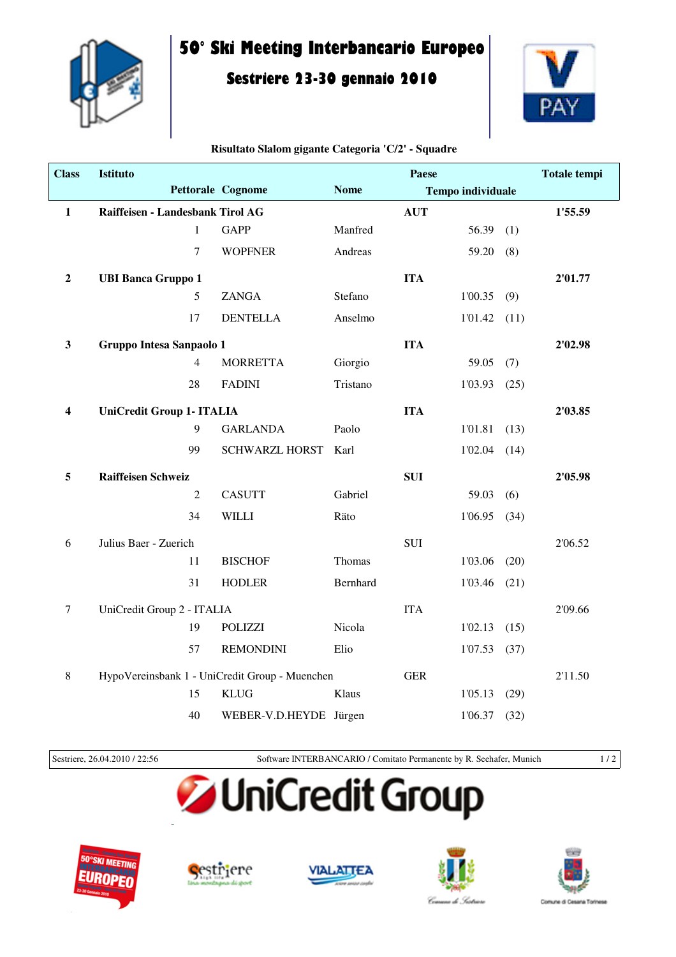

## **50° Ski Meeting Interbancario Europeo**

### **Sestriere 23-30 gennaio 2010**



#### **Risultato Slalom gigante Categoria 'C/2' - Squadre**

| <b>Class</b> | <b>Istituto</b>                  |                                                |             | Paese      |                          |      | <b>Totale tempi</b> |
|--------------|----------------------------------|------------------------------------------------|-------------|------------|--------------------------|------|---------------------|
|              |                                  | <b>Pettorale Cognome</b>                       | <b>Nome</b> |            | <b>Tempo individuale</b> |      |                     |
| $\mathbf{1}$ | Raiffeisen - Landesbank Tirol AG |                                                |             | <b>AUT</b> |                          |      | 1'55.59             |
|              | $\mathbf{1}$                     | <b>GAPP</b>                                    | Manfred     |            | 56.39                    | (1)  |                     |
|              | $\overline{7}$                   | <b>WOPFNER</b>                                 | Andreas     |            | 59.20                    | (8)  |                     |
| $\mathbf 2$  | <b>UBI Banca Gruppo 1</b>        |                                                |             | <b>ITA</b> |                          |      | 2'01.77             |
|              | 5                                | <b>ZANGA</b>                                   | Stefano     |            | 1'00.35                  | (9)  |                     |
|              | 17                               | <b>DENTELLA</b>                                | Anselmo     |            | 1'01.42                  | (11) |                     |
| $\mathbf{3}$ | Gruppo Intesa Sanpaolo 1         |                                                |             | <b>ITA</b> |                          |      | 2'02.98             |
|              | $\overline{4}$                   | <b>MORRETTA</b>                                | Giorgio     |            | 59.05                    | (7)  |                     |
|              | 28                               | <b>FADINI</b>                                  | Tristano    |            | 1'03.93                  | (25) |                     |
| 4            | <b>UniCredit Group 1- ITALIA</b> |                                                |             | <b>ITA</b> |                          |      | 2'03.85             |
|              | 9                                | <b>GARLANDA</b>                                | Paolo       |            | 1'01.81                  | (13) |                     |
|              | 99                               | <b>SCHWARZL HORST</b>                          | Karl        |            | 1'02.04                  | (14) |                     |
| 5            | <b>Raiffeisen Schweiz</b>        |                                                |             | <b>SUI</b> |                          |      | 2'05.98             |
|              | $\overline{2}$                   | <b>CASUTT</b>                                  | Gabriel     |            | 59.03                    | (6)  |                     |
|              | 34                               | <b>WILLI</b>                                   | Räto        |            | 1'06.95                  | (34) |                     |
| 6            | Julius Baer - Zuerich            |                                                |             | SUI        |                          |      | 2'06.52             |
|              | 11                               | <b>BISCHOF</b>                                 | Thomas      |            | 1'03.06                  | (20) |                     |
|              | 31                               | <b>HODLER</b>                                  | Bernhard    |            | 1'03.46                  | (21) |                     |
| $\tau$       | UniCredit Group 2 - ITALIA       |                                                |             | <b>ITA</b> |                          |      | 2'09.66             |
|              | 19                               | <b>POLIZZI</b>                                 | Nicola      |            | 1'02.13                  | (15) |                     |
|              | 57                               | <b>REMONDINI</b>                               | Elio        |            | 1'07.53                  | (37) |                     |
| 8            |                                  | HypoVereinsbank 1 - UniCredit Group - Muenchen |             | <b>GER</b> |                          |      | 2'11.50             |
|              | 15                               | <b>KLUG</b>                                    | Klaus       |            | 1'05.13                  | (29) |                     |
|              | 40                               | WEBER-V.D.HEYDE Jürgen                         |             |            | 1'06.37                  | (32) |                     |

Sestriere, 26.04.2010 / 22:56 Software INTERBANCARIO / Comitato Permanente by R. Seehafer, Munich 1 / 2

# **JUniCredit Group**